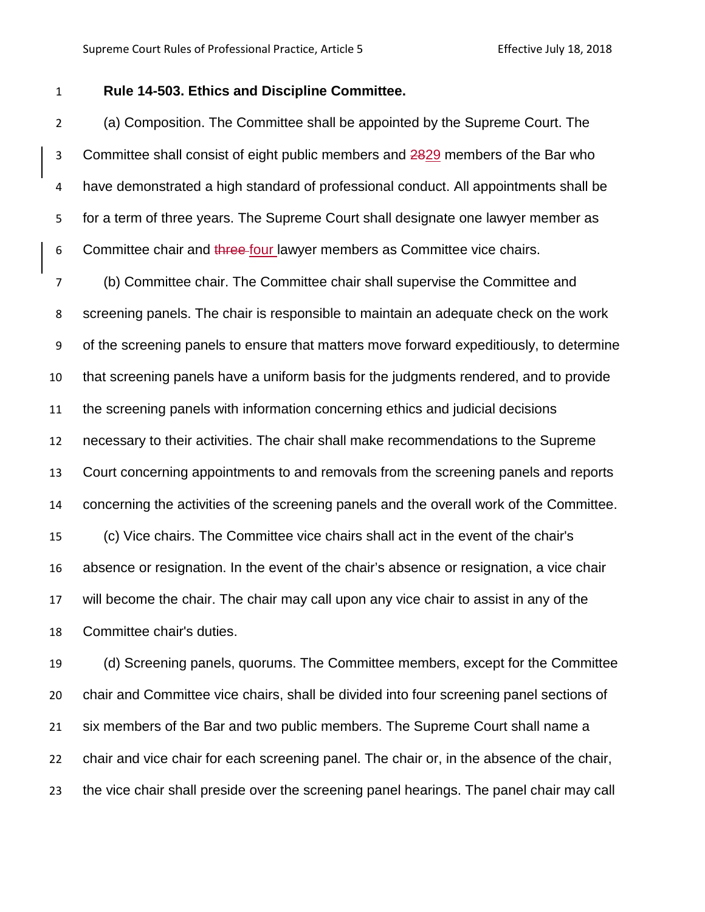## **Rule 14-503. Ethics and Discipline Committee.**

 (a) Composition. The Committee shall be appointed by the Supreme Court. The 3 Committee shall consist of eight public members and 2829 members of the Bar who have demonstrated a high standard of professional conduct. All appointments shall be for a term of three years. The Supreme Court shall designate one lawyer member as 6 Committee chair and three-four lawyer members as Committee vice chairs.

 (b) Committee chair. The Committee chair shall supervise the Committee and screening panels. The chair is responsible to maintain an adequate check on the work of the screening panels to ensure that matters move forward expeditiously, to determine that screening panels have a uniform basis for the judgments rendered, and to provide the screening panels with information concerning ethics and judicial decisions necessary to their activities. The chair shall make recommendations to the Supreme Court concerning appointments to and removals from the screening panels and reports concerning the activities of the screening panels and the overall work of the Committee. (c) Vice chairs. The Committee vice chairs shall act in the event of the chair's absence or resignation. In the event of the chair's absence or resignation, a vice chair will become the chair. The chair may call upon any vice chair to assist in any of the Committee chair's duties.

 (d) Screening panels, quorums. The Committee members, except for the Committee chair and Committee vice chairs, shall be divided into four screening panel sections of six members of the Bar and two public members. The Supreme Court shall name a chair and vice chair for each screening panel. The chair or, in the absence of the chair, the vice chair shall preside over the screening panel hearings. The panel chair may call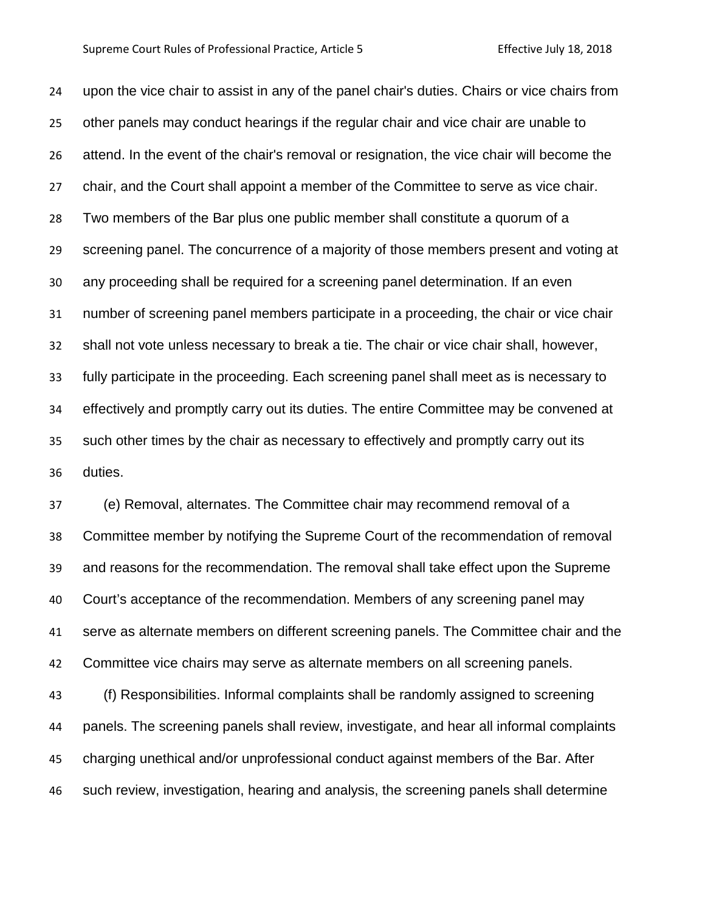## Supreme Court Rules of Professional Practice, Article 5 Effective July 18, 2018

 upon the vice chair to assist in any of the panel chair's duties. Chairs or vice chairs from other panels may conduct hearings if the regular chair and vice chair are unable to attend. In the event of the chair's removal or resignation, the vice chair will become the chair, and the Court shall appoint a member of the Committee to serve as vice chair. Two members of the Bar plus one public member shall constitute a quorum of a screening panel. The concurrence of a majority of those members present and voting at any proceeding shall be required for a screening panel determination. If an even number of screening panel members participate in a proceeding, the chair or vice chair shall not vote unless necessary to break a tie. The chair or vice chair shall, however, fully participate in the proceeding. Each screening panel shall meet as is necessary to effectively and promptly carry out its duties. The entire Committee may be convened at such other times by the chair as necessary to effectively and promptly carry out its duties.

 (e) Removal, alternates. The Committee chair may recommend removal of a Committee member by notifying the Supreme Court of the recommendation of removal and reasons for the recommendation. The removal shall take effect upon the Supreme Court's acceptance of the recommendation. Members of any screening panel may serve as alternate members on different screening panels. The Committee chair and the Committee vice chairs may serve as alternate members on all screening panels. (f) Responsibilities. Informal complaints shall be randomly assigned to screening

 panels. The screening panels shall review, investigate, and hear all informal complaints charging unethical and/or unprofessional conduct against members of the Bar. After such review, investigation, hearing and analysis, the screening panels shall determine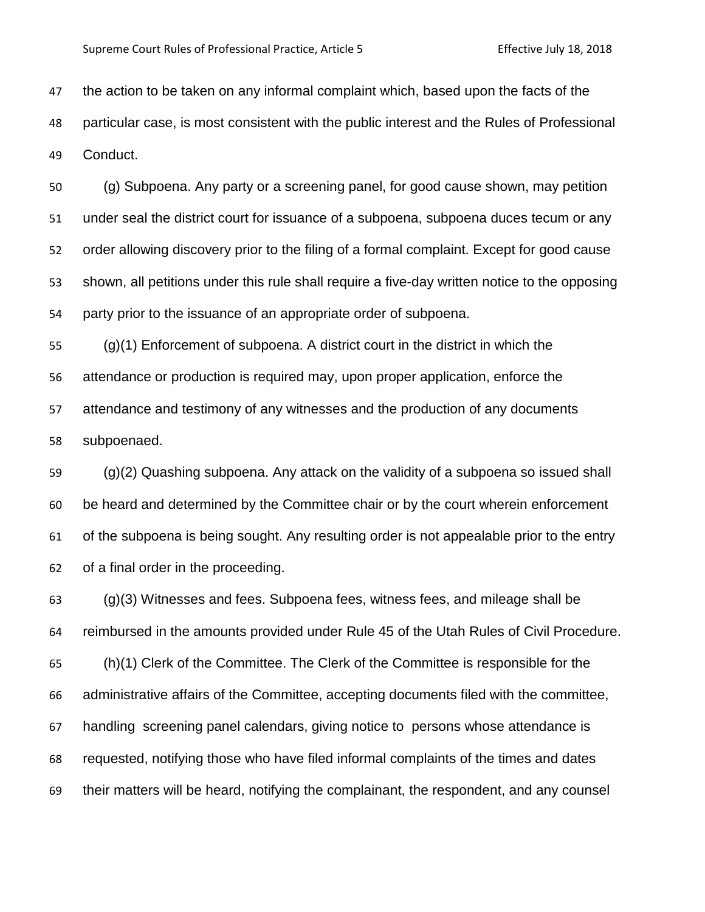the action to be taken on any informal complaint which, based upon the facts of the particular case, is most consistent with the public interest and the Rules of Professional Conduct.

 (g) Subpoena. Any party or a screening panel, for good cause shown, may petition under seal the district court for issuance of a subpoena, subpoena duces tecum or any order allowing discovery prior to the filing of a formal complaint. Except for good cause shown, all petitions under this rule shall require a five-day written notice to the opposing party prior to the issuance of an appropriate order of subpoena.

 (g)(1) Enforcement of subpoena. A district court in the district in which the attendance or production is required may, upon proper application, enforce the attendance and testimony of any witnesses and the production of any documents subpoenaed.

 (g)(2) Quashing subpoena. Any attack on the validity of a subpoena so issued shall be heard and determined by the Committee chair or by the court wherein enforcement of the subpoena is being sought. Any resulting order is not appealable prior to the entry of a final order in the proceeding.

 (g)(3) Witnesses and fees. Subpoena fees, witness fees, and mileage shall be reimbursed in the amounts provided under Rule 45 of the Utah Rules of Civil Procedure. (h)(1) Clerk of the Committee. The Clerk of the Committee is responsible for the administrative affairs of the Committee, accepting documents filed with the committee, handling screening panel calendars, giving notice to persons whose attendance is requested, notifying those who have filed informal complaints of the times and dates their matters will be heard, notifying the complainant, the respondent, and any counsel